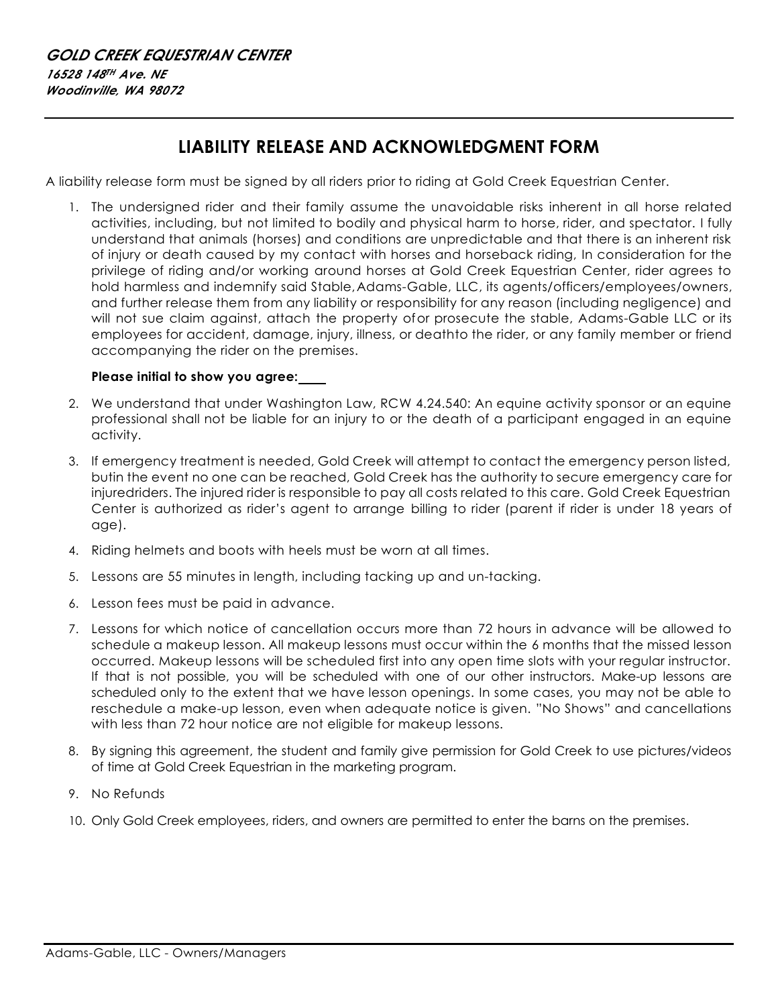## **LIABILITY RELEASE AND ACKNOWLEDGMENT FORM**

A liability release form must be signed by all riders prior to riding at Gold Creek Equestrian Center.

1. The undersigned rider and their family assume the unavoidable risks inherent in all horse related activities, including, but not limited to bodily and physical harm to horse, rider, and spectator. I fully understand that animals (horses) and conditions are unpredictable and that there is an inherent risk of injury or death caused by my contact with horses and horseback riding, In consideration for the privilege of riding and/or working around horses at Gold Creek Equestrian Center, rider agrees to hold harmless and indemnify said Stable, Adams-Gable, LLC, its agents/officers/employees/owners, and further release them from any liability or responsibility for any reason (including negligence) and will not sue claim against, attach the property ofor prosecute the stable, Adams-Gable LLC or its employees for accident, damage, injury, illness, or deathto the rider, or any family member or friend accompanying the rider on the premises.

## **Please initial to show you agree:**

- 2. We understand that under Washington Law, RCW 4.24.540: An equine activity sponsor or an equine professional shall not be liable for an injury to or the death of a participant engaged in an equine activity.
- 3. If emergency treatment is needed, Gold Creek will attempt to contact the emergency person listed, butin the event no one can be reached, Gold Creek has the authority to secure emergency care for injuredriders. The injured rider is responsible to pay all costs related to this care. Gold Creek Equestrian Center is authorized as rider's agent to arrange billing to rider (parent if rider is under 18 years of age).
- 4. Riding helmets and boots with heels must be worn at all times.
- 5. Lessons are 55 minutes in length, including tacking up and un-tacking.
- 6. Lesson fees must be paid in advance.
- 7. Lessons for which notice of cancellation occurs more than 72 hours in advance will be allowed to schedule a makeup lesson. All makeup lessons must occur within the 6 months that the missed lesson occurred. Makeup lessons will be scheduled first into any open time slots with your regular instructor. If that is not possible, you will be scheduled with one of our other instructors. Make-up lessons are scheduled only to the extent that we have lesson openings. In some cases, you may not be able to reschedule a make-up lesson, even when adequate notice is given. "No Shows" and cancellations with less than 72 hour notice are not eligible for makeup lessons.
- 8. By signing this agreement, the student and family give permission for Gold Creek to use pictures/videos of time at Gold Creek Equestrian in the marketing program.
- 9. No Refunds
- 10. Only Gold Creek employees, riders, and owners are permitted to enter the barns on the premises.